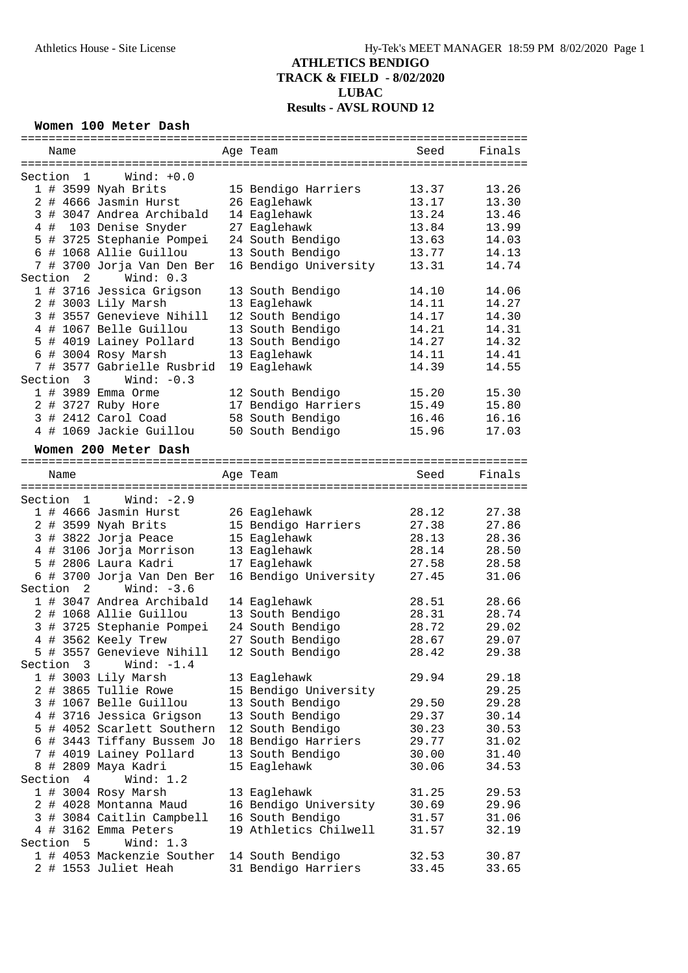#### **Women 100 Meter Dash**

| Name                      |                                            | Age Team              | Seed  | Finals |
|---------------------------|--------------------------------------------|-----------------------|-------|--------|
|                           |                                            |                       |       |        |
| Section 1                 | $\texttt{Wind: } +0.0$                     |                       |       |        |
|                           | 1 # 3599 Nyah Brits                        | 15 Bendigo Harriers   | 13.37 | 13.26  |
|                           | 2 # 4666 Jasmin Hurst                      | 26 Eaglehawk          | 13.17 | 13.30  |
|                           | 3 # 3047 Andrea Archibald                  | 14 Eaglehawk          | 13.24 | 13.46  |
|                           | 4 # 103 Denise Snyder                      | 27 Eaglehawk          | 13.84 | 13.99  |
|                           | 5 # 3725 Stephanie Pompei                  | 24 South Bendigo      | 13.63 | 14.03  |
|                           | 6 # 1068 Allie Guillou                     | 13 South Bendigo      | 13.77 | 14.13  |
|                           | 7 # 3700 Jorja Van Den Ber                 | 16 Bendigo University | 13.31 | 14.74  |
|                           | Section 2 Wind: 0.3                        |                       |       |        |
|                           | 1 # 3716 Jessica Grigson                   | 13 South Bendigo      | 14.10 | 14.06  |
|                           | 2 # 3003 Lily Marsh                        | 13 Eaglehawk          | 14.11 | 14.27  |
|                           | 3 # 3557 Genevieve Nihill                  | 12 South Bendigo      | 14.17 | 14.30  |
|                           | 4 # 1067 Belle Guillou                     | 13 South Bendigo      | 14.21 | 14.31  |
|                           | 5 # 4019 Lainey Pollard                    | 13 South Bendigo      | 14.27 | 14.32  |
|                           |                                            |                       | 14.11 | 14.41  |
|                           | 6 # 3004 Rosy Marsh                        | 13 Eaglehawk          |       |        |
|                           | 7 # 3577 Gabrielle Rusbrid                 | 19 Eaglehawk          | 14.39 | 14.55  |
| Section 3                 | Wind: $-0.3$                               |                       |       |        |
|                           | 1 # 3989 Emma Orme                         | 12 South Bendigo      | 15.20 | 15.30  |
|                           | 2 # 3727 Ruby Hore                         | 17 Bendigo Harriers   | 15.49 | 15.80  |
|                           | 3 # 2412 Carol Coad                        | 58 South Bendigo      | 16.46 | 16.16  |
|                           | 4 # 1069 Jackie Guillou                    | 50 South Bendigo      | 15.96 | 17.03  |
|                           | Women 200 Meter Dash                       |                       |       |        |
|                           |                                            |                       |       |        |
| Name                      |                                            | Age Team              | Seed  | Finals |
|                           |                                            |                       |       |        |
|                           | Section $1$ Wind: $-2.9$                   |                       |       |        |
|                           | 1 # 4666 Jasmin Hurst                      | 26 Eaglehawk          | 28.12 | 27.38  |
|                           | 2 # 3599 Nyah Brits                        | 15 Bendigo Harriers   | 27.38 | 27.86  |
|                           | 3 # 3822 Jorja Peace                       | 15 Eaglehawk          | 28.13 | 28.36  |
|                           | 4 # 3106 Jorja Morrison                    | 13 Eaglehawk          | 28.14 | 28.50  |
|                           | 5 # 2806 Laura Kadri                       | 17 Eaglehawk          | 27.58 | 28.58  |
|                           | 6 # 3700 Jorja Van Den Ber                 | 16 Bendigo University | 27.45 | 31.06  |
| $\overline{2}$<br>Section | Wind: $-3.6$                               |                       |       |        |
|                           | 1 # 3047 Andrea Archibald                  | 14 Eaglehawk          | 28.51 | 28.66  |
|                           | 2 # 1068 Allie Guillou                     |                       |       |        |
|                           |                                            | 13 South Bendigo      | 28.31 | 28.74  |
|                           | 3 # 3725 Stephanie Pompei 24 South Bendigo |                       | 28.72 | 29.02  |
|                           | 4 # 3562 Keely Trew                        | 27 South Bendigo      | 28.67 | 29.07  |
|                           | 5 # 3557 Genevieve Nihill 12 South Bendigo |                       | 28.42 | 29.38  |
| Section 3                 | Wind: $-1.4$                               |                       |       |        |
|                           | 1 # 3003 Lily Marsh                        | 13 Eaglehawk          | 29.94 | 29.18  |
|                           | 2 # 3865 Tullie Rowe                       | 15 Bendigo University |       | 29.25  |
|                           | 3 # 1067 Belle Guillou                     | 13 South Bendigo      | 29.50 | 29.28  |
|                           | 4 # 3716 Jessica Grigson                   | 13 South Bendigo      | 29.37 | 30.14  |
|                           | 5 # 4052 Scarlett Southern                 | 12 South Bendigo      | 30.23 | 30.53  |
|                           | 6 # 3443 Tiffany Bussem Jo                 | 18 Bendigo Harriers   | 29.77 | 31.02  |
|                           | 7 # 4019 Lainey Pollard                    | 13 South Bendigo      | 30.00 | 31.40  |
|                           | 8 # 2809 Maya Kadri                        | 15 Eaglehawk          | 30.06 | 34.53  |
| Section<br>$\overline{4}$ | Wind: $1.2$                                |                       |       |        |
|                           | 1 # 3004 Rosy Marsh                        | 13 Eaglehawk          | 31.25 | 29.53  |
|                           | 2 # 4028 Montanna Maud                     | 16 Bendigo University | 30.69 | 29.96  |
|                           | 3 # 3084 Caitlin Campbell                  | 16 South Bendigo      | 31.57 | 31.06  |
|                           | 4 # 3162 Emma Peters                       | 19 Athletics Chilwell | 31.57 | 32.19  |
| Section 5                 | Wind: $1.3$                                |                       |       |        |
|                           | 1 # 4053 Mackenzie Souther                 | 14 South Bendigo      | 32.53 | 30.87  |
|                           | 2 # 1553 Juliet Heah                       | 31 Bendigo Harriers   | 33.45 | 33.65  |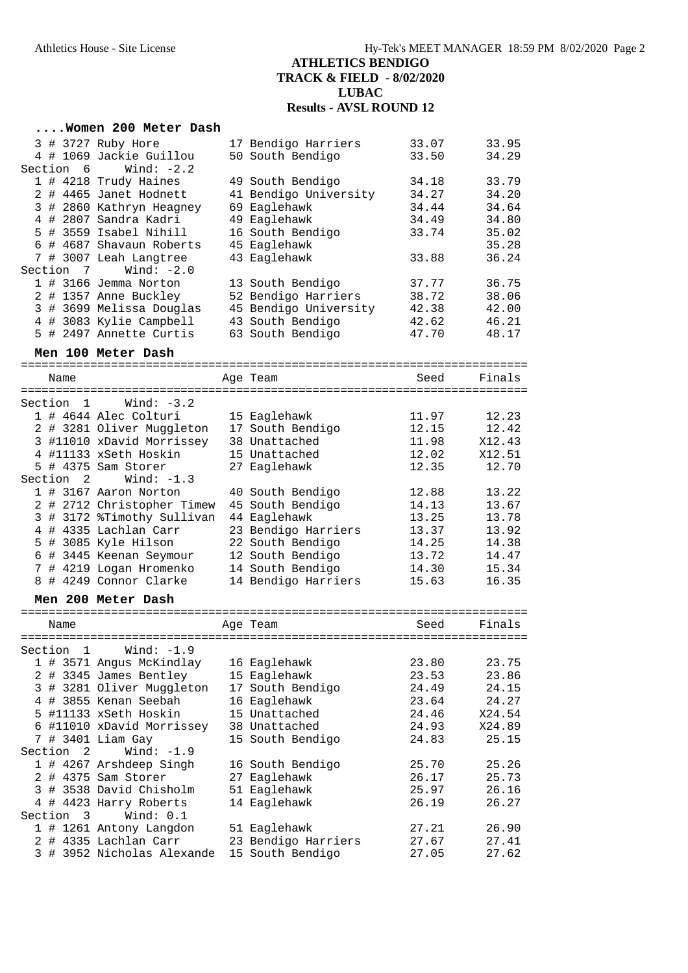|                           | Women 200 Meter Dash                     |                       |                                 |        |
|---------------------------|------------------------------------------|-----------------------|---------------------------------|--------|
|                           | 3 # 3727 Ruby Hore                       | 17 Bendigo Harriers   | 33.07                           | 33.95  |
| Section 6                 | 4 # 1069 Jackie Guillou<br>Wind: $-2.2$  | 50 South Bendigo      | 33.50                           | 34.29  |
|                           | 1 # 4218 Trudy Haines                    | 49 South Bendigo      | 34.18                           | 33.79  |
|                           | 2 # 4465 Janet Hodnett                   | 41 Bendigo University | 34.27                           | 34.20  |
|                           | 3 # 2860 Kathryn Heagney                 | 69 Eaglehawk          | 34.44                           | 34.64  |
|                           | 4 # 2807 Sandra Kadri                    | 49 Eaglehawk          | 34.49                           | 34.80  |
|                           | 5 # 3559 Isabel Nihill                   | 16 South Bendigo      | 33.74                           | 35.02  |
|                           | 6 # 4687 Shavaun Roberts                 | 45 Eaglehawk          |                                 | 35.28  |
|                           | 7 # 3007 Leah Langtree                   | 43 Eaglehawk          | 33.88                           | 36.24  |
| Section 7                 | Wind: $-2.0$                             |                       |                                 |        |
|                           | 1 # 3166 Jemma Norton                    | 13 South Bendigo      | 37.77                           | 36.75  |
|                           | 2 # 1357 Anne Buckley                    | 52 Bendigo Harriers   | 38.72                           | 38.06  |
|                           | 3 # 3699 Melissa Douglas                 | 45 Bendigo University | 42.38                           | 42.00  |
|                           | 4 # 3083 Kylie Campbell                  | 43 South Bendigo      | 42.62                           | 46.21  |
|                           | 5 # 2497 Annette Curtis                  | 63 South Bendigo      | 47.70                           | 48.17  |
|                           | Men 100 Meter Dash                       |                       |                                 |        |
|                           |                                          |                       |                                 |        |
| Name                      |                                          | Age Team              | Seed                            | Finals |
| Section 1                 | Wind: $-3.2$                             |                       |                                 |        |
|                           | 1 # 4644 Alec Colturi                    | 15 Eaglehawk          | 11.97                           | 12.23  |
|                           | 2 # 3281 Oliver Muggleton                | 17 South Bendigo      | 12.15                           | 12.42  |
|                           | 3 #11010 xDavid Morrissey                | 38 Unattached         | 11.98                           | X12.43 |
|                           | 4 #11133 xSeth Hoskin                    | 15 Unattached         | 12.02                           | X12.51 |
|                           | 5 # 4375 Sam Storer                      | 27 Eaglehawk          | 12.35                           | 12.70  |
| Section <sub>2</sub>      | Wind: $-1.3$                             |                       |                                 |        |
|                           | 1 # 3167 Aaron Norton                    | 40 South Bendigo      | 12.88                           | 13.22  |
|                           | 2 # 2712 Christopher Timew               | 45 South Bendigo      | 14.13                           | 13.67  |
|                           | 3 # 3172 %Timothy Sullivan               | 44 Eaglehawk          | 13.25                           | 13.78  |
|                           | 4 # 4335 Lachlan Carr                    | 23 Bendigo Harriers   | 13.37                           | 13.92  |
|                           | 5 # 3085 Kyle Hilson                     | 22 South Bendigo      | 14.25                           | 14.38  |
|                           | 6 # 3445 Keenan Seymour                  | 12 South Bendigo      | 13.72                           | 14.47  |
|                           | 7 # 4219 Logan Hromenko                  | 14 South Bendigo      | 14.30                           | 15.34  |
|                           | 8 # 4249 Connor Clarke                   | 14 Bendigo Harriers   | 15.63                           | 16.35  |
|                           | Men 200 Meter Dash                       |                       |                                 |        |
|                           |                                          |                       | =============================== |        |
| Name                      |                                          | Age Team              | Seed                            | Finals |
|                           |                                          |                       |                                 |        |
| Section<br>$\overline{1}$ | Wind: $-1.9$<br>1 # 3571 Angus McKindlay | 16 Eaglehawk          | 23.80                           | 23.75  |
|                           | 2 # 3345 James Bentley                   | 15 Eaglehawk          | 23.53                           | 23.86  |
|                           | 3 # 3281 Oliver Muggleton                | 17 South Bendigo      | 24.49                           | 24.15  |
|                           | 4 # 3855 Kenan Seebah                    | 16 Eaglehawk          | 23.64                           | 24.27  |
|                           | 5 #11133 xSeth Hoskin                    | 15 Unattached         | 24.46                           | X24.54 |
|                           | 6 #11010 xDavid Morrissey                | 38 Unattached         | 24.93                           | X24.89 |
|                           | 7 # 3401 Liam Gay                        | 15 South Bendigo      | 24.83                           | 25.15  |
| Section<br>2              | Wind: $-1.9$                             |                       |                                 |        |
|                           | 1 # 4267 Arshdeep Singh                  | 16 South Bendigo      | 25.70                           | 25.26  |
|                           | 2 # 4375 Sam Storer                      | 27 Eaglehawk          | 26.17                           | 25.73  |
|                           | 3 # 3538 David Chisholm                  | 51 Eaglehawk          | 25.97                           | 26.16  |
|                           | 4 # 4423 Harry Roberts                   | 14 Eaglehawk          | 26.19                           | 26.27  |
| Section 3                 | Wind: $0.1$                              |                       |                                 |        |
|                           | 1 # 1261 Antony Langdon                  | 51 Eaglehawk          | 27.21                           | 26.90  |
|                           | 2 # 4335 Lachlan Carr                    | 23 Bendigo Harriers   | 27.67                           | 27.41  |
|                           | 3 # 3952 Nicholas Alexande               | 15 South Bendigo      | 27.05                           | 27.62  |
|                           |                                          |                       |                                 |        |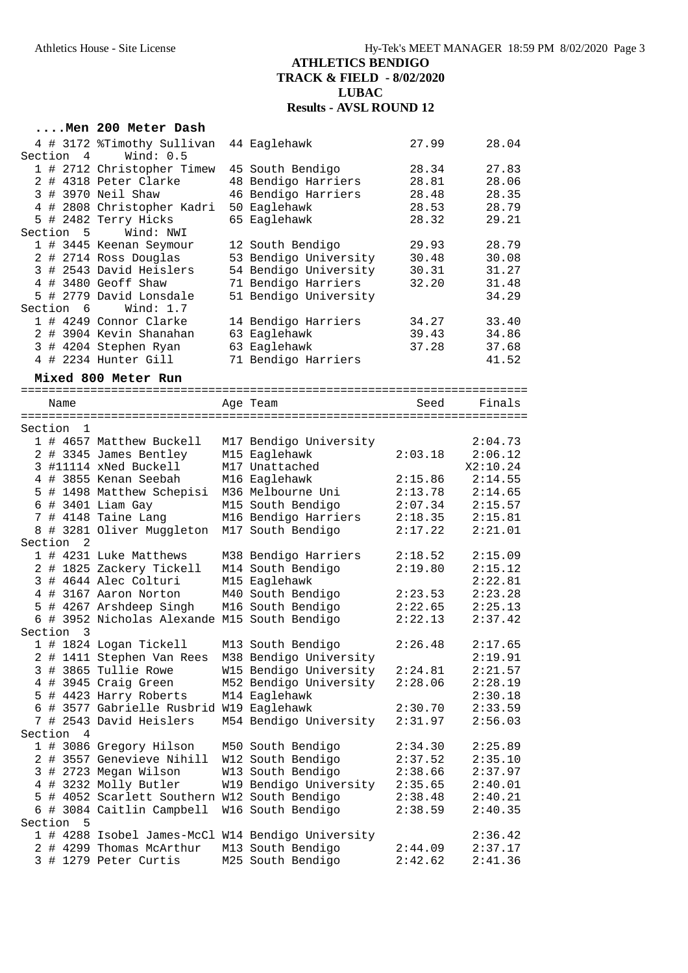|         |                | Men 200 Meter Dash                               |                                                   |                |                |
|---------|----------------|--------------------------------------------------|---------------------------------------------------|----------------|----------------|
|         |                | 4 # 3172 %Timothy Sullivan                       | 44 Eaglehawk                                      | 27.99          | 28.04          |
| Section | $\overline{4}$ | Wind: $0.5$                                      |                                                   |                |                |
|         |                | 1 # 2712 Christopher Timew                       | 45 South Bendigo                                  | 28.34          | 27.83          |
|         |                | 2 # 4318 Peter Clarke                            | 48 Bendigo Harriers                               | 28.81          | 28.06          |
|         |                | 3 # 3970 Neil Shaw                               | 46 Bendigo Harriers                               | 28.48          | 28.35          |
|         |                | 4 # 2808 Christopher Kadri                       | 50 Eaglehawk                                      | 28.53          | 28.79          |
|         |                | 5 # 2482 Terry Hicks                             | 65 Eaglehawk                                      | 28.32          | 29.21          |
|         | Section 5      | Wind: NWI                                        |                                                   |                |                |
|         |                | 1 # 3445 Keenan Seymour                          | 12 South Bendigo                                  | 29.93          | 28.79          |
|         |                | 2 # 2714 Ross Douglas<br>3 # 2543 David Heislers | 53 Bendigo University<br>54 Bendigo University    | 30.48<br>30.31 | 30.08<br>31.27 |
|         |                | 4 # 3480 Geoff Shaw                              | 71 Bendigo Harriers                               | 32.20          | 31.48          |
|         |                | 5 # 2779 David Lonsdale                          | 51 Bendigo University                             |                | 34.29          |
|         | Section 6      | Wind: $1.7$                                      |                                                   |                |                |
|         |                | 1 # 4249 Connor Clarke                           | 14 Bendigo Harriers                               | 34.27          | 33.40          |
|         |                | 2 # 3904 Kevin Shanahan                          | 63 Eaglehawk                                      | 39.43          | 34.86          |
|         |                | 3 # 4204 Stephen Ryan                            | 63 Eaglehawk                                      | 37.28          | 37.68          |
|         |                | 4 # 2234 Hunter Gill                             | 71 Bendigo Harriers                               |                | 41.52          |
|         |                | Mixed 800 Meter Run                              |                                                   |                |                |
|         |                |                                                  |                                                   |                |                |
|         | Name           |                                                  | Age Team                                          | Seed           | Finals         |
|         |                |                                                  |                                                   |                |                |
| Section | 1              |                                                  |                                                   |                |                |
|         |                | 1 # 4657 Matthew Buckell                         | M17 Bendigo University                            |                | 2:04.73        |
|         |                | 2 # 3345 James Bentley                           | M15 Eaglehawk                                     | 2:03.18        | 2:06.12        |
|         |                | 3 #11114 xNed Buckell                            | M17 Unattached                                    |                | X2:10.24       |
|         |                | 4 # 3855 Kenan Seebah                            | M16 Eaglehawk                                     | 2:15.86        | 2:14.55        |
|         |                | 5 # 1498 Matthew Schepisi                        | M36 Melbourne Uni                                 | 2:13.78        | 2:14.65        |
|         |                | $6$ # 3401 Liam Gay                              | M15 South Bendigo                                 | 2:07.34        | 2:15.57        |
|         |                | 7 # 4148 Taine Lang                              | M16 Bendigo Harriers                              | 2:18.35        | 2:15.81        |
|         | Section<br>-2  | 8 # 3281 Oliver Muggleton                        | M17 South Bendigo                                 | 2:17.22        | 2:21.01        |
|         |                | 1 # 4231 Luke Matthews                           | M38 Bendigo Harriers                              | 2:18.52        | 2:15.09        |
|         |                | 2 # 1825 Zackery Tickell                         | M14 South Bendigo                                 | 2:19.80        | 2:15.12        |
|         |                | 3 # 4644 Alec Colturi                            | M15 Eaglehawk                                     |                | 2:22.81        |
|         |                | 4 # 3167 Aaron Norton                            | M40 South Bendigo                                 | 2:23.53        | 2:23.28        |
|         |                | 5 # 4267 Arshdeep Singh                          | M16 South Bendigo                                 | 2:22.65        | 2:25.13        |
|         |                | 6 # 3952 Nicholas Alexande M15 South Bendigo     |                                                   | 2:22.13        | 2:37.42        |
| Section | 3              |                                                  |                                                   |                |                |
|         |                | 1 # 1824 Logan Tickell                           | M13 South Bendigo                                 | 2:26.48        | 2:17.65        |
|         |                | 2 # 1411 Stephen Van Rees                        | M38 Bendigo University                            |                | 2:19.91        |
| 3       |                | # 3865 Tullie Rowe                               | W15 Bendigo University                            | 2:24.81        | 2:21.57        |
| 4       |                | # 3945 Craig Green                               | M52 Bendigo University                            | 2:28.06        | 2:28.19        |
|         |                | 5 # 4423 Harry Roberts                           | M14 Eaglehawk                                     |                | 2:30.18        |
|         |                | 6 # 3577 Gabrielle Rusbrid W19 Eaglehawk         |                                                   | 2:30.70        | 2:33.59        |
|         |                | 7 # 2543 David Heislers                          | M54 Bendigo University                            | 2:31.97        | 2:56.03        |
| Section | $\overline{4}$ |                                                  |                                                   |                |                |
|         |                | 1 # 3086 Gregory Hilson                          | M50 South Bendigo                                 | 2:34.30        | 2:25.89        |
| 2       |                | # 3557 Genevieve Nihill                          | W12 South Bendigo                                 | 2:37.52        | 2:35.10        |
|         |                | 3 # 2723 Megan Wilson                            | W13 South Bendigo                                 | 2:38.66        | 2:37.97        |
|         |                | 4 # 3232 Molly Butler                            | W19 Bendigo University                            | 2:35.65        | 2:40.01        |
|         |                | 5 # 4052 Scarlett Southern W12 South Bendigo     |                                                   | 2:38.48        | 2:40.21        |
|         |                | 6 # 3084 Caitlin Campbell                        | W16 South Bendigo                                 | 2:38.59        | 2:40.35        |
| Section | 5              |                                                  |                                                   |                |                |
|         |                |                                                  | 1 # 4288 Isobel James-McCl W14 Bendigo University |                | 2:36.42        |
|         |                | 2 # 4299 Thomas McArthur                         | M13 South Bendigo                                 | 2:44.09        | 2:37.17        |
|         |                | 3 # 1279 Peter Curtis                            | M25 South Bendigo                                 | 2:42.62        | 2:41.36        |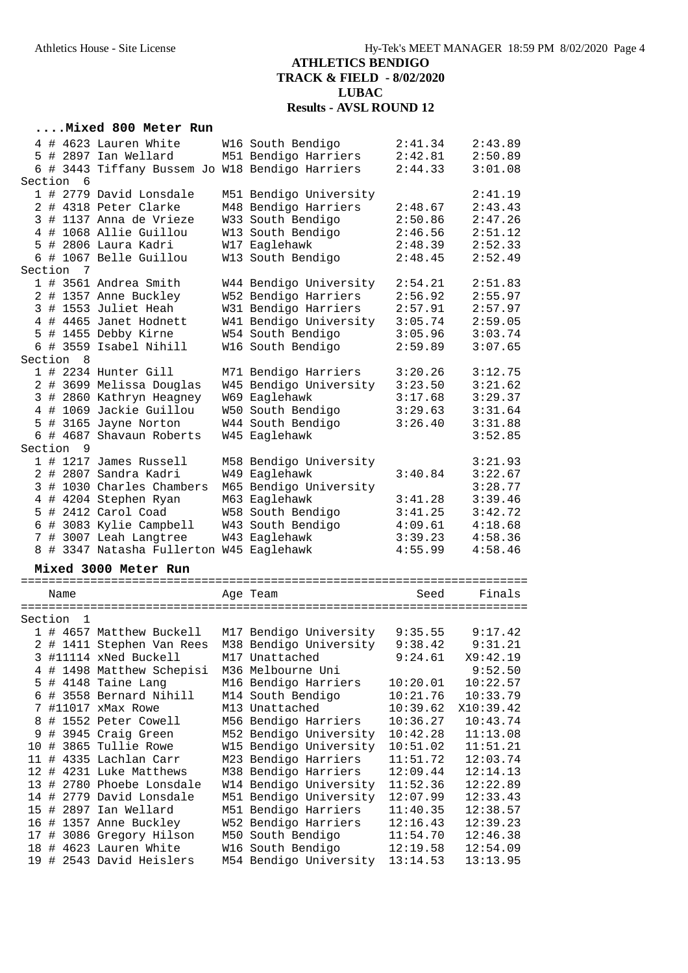### **....Mixed 800 Meter Run**

|         |           | 4 # 4623 Lauren White                           | W16 South Bendigo      | 2:41.34            | 2:43.89   |
|---------|-----------|-------------------------------------------------|------------------------|--------------------|-----------|
|         |           | 5 # 2897 Ian Wellard                            | M51 Bendigo Harriers   | 2:42.81            | 2:50.89   |
|         |           | 6 # 3443 Tiffany Bussem Jo W18 Bendigo Harriers |                        | 2:44.33            | 3:01.08   |
| Section | 6         |                                                 |                        |                    |           |
|         |           | 1 # 2779 David Lonsdale                         | M51 Bendigo University |                    | 2:41.19   |
|         |           | 2 # 4318 Peter Clarke                           | M48 Bendigo Harriers   | 2:48.67            | 2:43.43   |
|         |           | 3 # 1137 Anna de Vrieze                         | W33 South Bendigo      | 2:50.86            | 2:47.26   |
|         |           | 4 # 1068 Allie Guillou                          | W13 South Bendigo      | 2:46.56            | 2:51.12   |
|         |           | 5 # 2806 Laura Kadri                            | W17 Eaglehawk          | 2:48.39<br>2:48.45 | 2:52.33   |
| Section | 7         | 6 # 1067 Belle Guillou                          | W13 South Bendigo      |                    | 2:52.49   |
|         |           |                                                 |                        |                    |           |
|         |           | 1 # 3561 Andrea Smith                           | W44 Bendigo University | 2:54.21            | 2:51.83   |
|         |           | 2 # 1357 Anne Buckley                           | W52 Bendigo Harriers   | 2:56.92            | 2:55.97   |
|         |           | 3 # 1553 Juliet Heah                            | W31 Bendigo Harriers   | 2:57.91<br>3:05.74 | 2:57.97   |
|         |           | 4 # 4465 Janet Hodnett                          | W41 Bendigo University |                    | 2:59.05   |
|         |           | 5 # 1455 Debby Kirne                            | W54 South Bendigo      | 3:05.96            | 3:03.74   |
|         |           | 6 # 3559 Isabel Nihill                          | W16 South Bendigo      | 2:59.89            | 3:07.65   |
|         | Section 8 |                                                 |                        |                    |           |
|         |           | 1 # 2234 Hunter Gill                            | M71 Bendigo Harriers   | 3:20.26            | 3:12.75   |
|         |           | 2 # 3699 Melissa Douglas                        | W45 Bendigo University | 3:23.50            | 3:21.62   |
|         |           | 3 # 2860 Kathryn Heagney                        | W69 Eaglehawk          | 3:17.68            | 3:29.37   |
|         |           | 4 # 1069 Jackie Guillou                         | W50 South Bendigo      | 3:29.63            | 3:31.64   |
| 5       |           | # 3165 Jayne Norton                             | W44 South Bendigo      | 3:26.40            | 3:31.88   |
|         |           | 6 # 4687 Shavaun Roberts                        | W45 Eaglehawk          |                    | 3:52.85   |
|         | Section 9 |                                                 |                        |                    |           |
|         |           | 1 # 1217 James Russell                          | M58 Bendigo University |                    | 3:21.93   |
|         |           | 2 # 2807 Sandra Kadri                           | W49 Eaglehawk          | 3:40.84            | 3:22.67   |
|         |           | 3 # 1030 Charles Chambers                       | M65 Bendigo University |                    | 3:28.77   |
|         |           | 4 # 4204 Stephen Ryan                           | M63 Eaglehawk          | 3:41.28            | 3:39.46   |
|         |           | 5 # 2412 Carol Coad                             | W58 South Bendigo      | 3:41.25            | 3:42.72   |
|         |           | 6 # 3083 Kylie Campbell                         | W43 South Bendigo      | 4:09.61            | 4:18.68   |
|         |           | 7 # 3007 Leah Langtree                          | W43 Eaglehawk          | 3:39.23            | 4:58.36   |
|         |           | 8 # 3347 Natasha Fullerton W45 Eaglehawk        |                        | 4:55.99            | 4:58.46   |
|         |           | Mixed 3000 Meter Run                            |                        |                    |           |
|         |           |                                                 |                        |                    |           |
|         | Name      |                                                 | Age Team               | Seed               | Finals    |
|         |           |                                                 |                        |                    |           |
| Section | 1         |                                                 |                        |                    |           |
|         |           | 1 # 4657 Matthew Buckell                        | M17 Bendigo University | 9:35.55            | 9:17.42   |
|         |           | 2 # 1411 Stephen Van Rees                       | M38 Bendigo University | 9:38.42            | 9:31.21   |
|         |           | 3 #11114 xNed Buckell                           | M17 Unattached         | 9:24.61            | X9:42.19  |
| 4       |           | # 1498 Matthew Schepisi                         | M36 Melbourne Uni      |                    | 9:52.50   |
|         |           | 5 # 4148 Taine Lang                             | M16 Bendigo Harriers   | 10:20.01           | 10:22.57  |
|         |           | 6 # 3558 Bernard Nihill                         | M14 South Bendigo      | 10:21.76           | 10:33.79  |
| 7       |           | #11017 xMax Rowe                                | M13 Unattached         | 10:39.62           | X10:39.42 |
| 8       |           | # 1552 Peter Cowell                             | M56 Bendigo Harriers   | 10:36.27           | 10:43.74  |
| 9       |           | # 3945 Craig Green                              | M52 Bendigo University | 10:42.28           | 11:13.08  |
| 10      |           | # 3865 Tullie Rowe                              | W15 Bendigo University | 10:51.02           | 11:51.21  |
|         |           | 11 # 4335 Lachlan Carr                          | M23 Bendigo Harriers   | 11:51.72           | 12:03.74  |
|         |           | 12 # 4231 Luke Matthews                         | M38 Bendigo Harriers   | 12:09.44           | 12:14.13  |
|         |           | 13 # 2780 Phoebe Lonsdale                       | W14 Bendigo University | 11:52.36           | 12:22.89  |
|         |           | 14 # 2779 David Lonsdale                        | M51 Bendigo University | 12:07.99           | 12:33.43  |
|         |           | 15 # 2897 Ian Wellard                           | M51 Bendigo Harriers   | 11:40.35           | 12:38.57  |
|         |           | 16 # 1357 Anne Buckley                          | W52 Bendigo Harriers   | 12:16.43           | 12:39.23  |
|         |           | 17 # 3086 Gregory Hilson                        | M50 South Bendigo      | 11:54.70           | 12:46.38  |

 18 # 4623 Lauren White W16 South Bendigo 12:19.58 12:54.09 19 # 2543 David Heislers M54 Bendigo University 13:14.53 13:13.95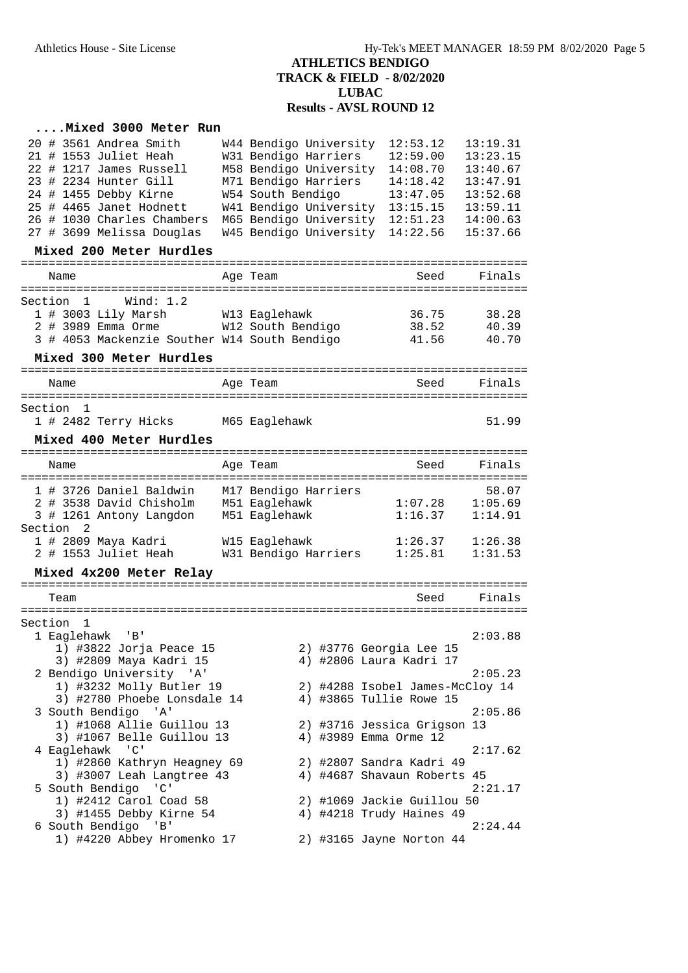| Mixed 3000 Meter Run                                            |                                |                                       |                  |
|-----------------------------------------------------------------|--------------------------------|---------------------------------------|------------------|
| 20 # 3561 Andrea Smith                                          | W44 Bendigo University         | 12:53.12                              | 13:19.31         |
| 21 # 1553 Juliet Heah                                           | W31 Bendigo Harriers           | 12:59.00                              | 13:23.15         |
| 22 # 1217 James Russell                                         | M58 Bendigo University         | 14:08.70                              | 13:40.67         |
| 23 # 2234 Hunter Gill                                           | M71 Bendigo Harriers           | 14:18.42                              | 13:47.91         |
| 24 # 1455 Debby Kirne                                           | W54 South Bendigo              | 13:47.05                              | 13:52.68         |
| 25 # 4465 Janet Hodnett                                         | W41 Bendigo University         | 13:15.15                              | 13:59.11         |
| 26 # 1030 Charles Chambers                                      | M65 Bendigo University         | 12:51.23                              | 14:00.63         |
| 27 # 3699 Melissa Douglas                                       | W45 Bendigo University         | 14:22.56                              | 15:37.66         |
| Mixed 200 Meter Hurdles                                         |                                |                                       |                  |
| Name                                                            | Age Team                       | ==================<br>Seed            | Finals           |
| =====================================<br>Wind: 1.2<br>Section 1 |                                | ===================================== |                  |
| 1 # 3003 Lily Marsh                                             | W13 Eaglehawk                  | 36.75                                 | 38.28            |
| 2 # 3989 Emma Orme W12 South Bendigo                            |                                | 38.52                                 | 40.39            |
| 3 # 4053 Mackenzie Souther W14 South Bendigo                    |                                | 41.56                                 | 40.70            |
|                                                                 |                                |                                       |                  |
| Mixed 300 Meter Hurdles                                         |                                |                                       |                  |
| Name                                                            | Age Team                       | Seed                                  | Finals           |
| ==========================                                      | ===================            | ------------------                    |                  |
| Section 1                                                       |                                |                                       |                  |
| 1 # 2482 Terry Hicks M65 Eaglehawk                              |                                |                                       | 51.99            |
| Mixed 400 Meter Hurdles                                         |                                |                                       |                  |
| ==========================                                      | =============                  |                                       | ========         |
| Name                                                            | Age Team                       | Seed                                  | Finals           |
|                                                                 |                                |                                       |                  |
| 1 # 3726 Daniel Baldwin<br>2 # 3538 David Chisholm              | M17 Bendigo Harriers           | 1:07.28                               | 58.07<br>1:05.69 |
| 3 # 1261 Antony Langdon                                         | M51 Eaglehawk<br>M51 Eaglehawk | 1:16.37                               | 1:14.91          |
| Section<br>2                                                    |                                |                                       |                  |
| 1 # 2809 Maya Kadri                                             | W15 Eaglehawk                  | 1:26.37                               | 1:26.38          |
| 2 # 1553 Juliet Heah                                            | W31 Bendigo Harriers           | 1:25.81                               | 1:31.53          |
|                                                                 |                                |                                       |                  |
| Mixed 4x200 Meter Relay                                         |                                |                                       |                  |
| Team                                                            |                                | Seed                                  | Finals           |
|                                                                 |                                |                                       |                  |
| Section<br>1                                                    |                                |                                       |                  |
| 1 Eaglehawk 'B'                                                 |                                |                                       | 2:03.88          |
| 1) #3822 Jorja Peace 15                                         |                                | 2) #3776 Georgia Lee 15               |                  |
| 3) #2809 Maya Kadri 15                                          |                                | 4) #2806 Laura Kadri 17               |                  |
| 2 Bendigo University 'A'                                        |                                |                                       | 2:05.23          |
| 1) #3232 Molly Butler 19                                        |                                | 2) #4288 Isobel James-McCloy 14       |                  |
| 3) #2780 Phoebe Lonsdale 14                                     |                                | 4) #3865 Tullie Rowe 15               |                  |
| 3 South Bendigo 'A'                                             |                                |                                       | 2:05.86          |
| 1) #1068 Allie Guillou 13                                       |                                | 2) #3716 Jessica Grigson 13           |                  |
| 3) #1067 Belle Guillou 13                                       |                                | 4) #3989 Emma Orme 12                 |                  |
| 4 Eaglehawk 'C'                                                 |                                |                                       | 2:17.62          |
| 1) #2860 Kathryn Heagney 69                                     |                                | 2) #2807 Sandra Kadri 49              |                  |
| 3) #3007 Leah Langtree 43<br>5 South Bendigo 'C'                |                                | 4) #4687 Shavaun Roberts 45           | 2:21.17          |
| 1) #2412 Carol Coad 58                                          |                                | 2) #1069 Jackie Guillou 50            |                  |
| 3) #1455 Debby Kirne 54                                         |                                | 4) #4218 Trudy Haines 49              |                  |
| 6 South Bendigo 'B'                                             |                                |                                       | 2:24.44          |
| 1) #4220 Abbey Hromenko 17                                      |                                | 2) #3165 Jayne Norton 44              |                  |
|                                                                 |                                |                                       |                  |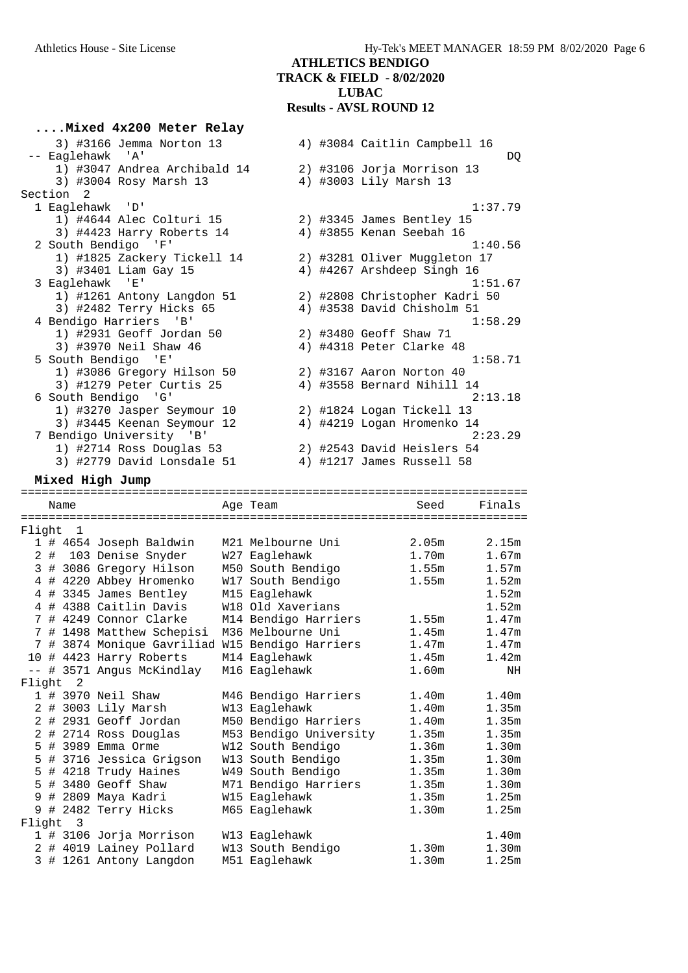|           | Mixed 4x200 Meter Relay                                                                        |                                    |  |                                                       |                   |
|-----------|------------------------------------------------------------------------------------------------|------------------------------------|--|-------------------------------------------------------|-------------------|
|           | 3) #3166 Jemma Norton 13                                                                       |                                    |  | 4) #3084 Caitlin Campbell 16                          |                   |
|           | -- Eaglehawk 'A'                                                                               |                                    |  |                                                       | DQ                |
|           | 1) #3047 Andrea Archibald 14                                                                   |                                    |  | 2) #3106 Jorja Morrison 13                            |                   |
|           | 3) #3004 Rosy Marsh 13                                                                         |                                    |  | 4) #3003 Lily Marsh 13                                |                   |
| Section 2 |                                                                                                |                                    |  |                                                       |                   |
|           | 1 Eaglehawk 'D'                                                                                |                                    |  |                                                       | 1:37.79           |
|           | 1) #4644 Alec Colturi 15<br>3) #4423 Harry Roberts 14                                          |                                    |  | 2) #3345 James Bentley 15<br>4) #3855 Kenan Seebah 16 |                   |
|           | 2 South Bendigo<br>一「日」                                                                        |                                    |  |                                                       | 1:40.56           |
|           | 1) #1825 Zackery Tickell 14                                                                    |                                    |  | 2) #3281 Oliver Muggleton 17                          |                   |
|           | 3) #3401 Liam Gay 15                                                                           |                                    |  | 4) #4267 Arshdeep Singh 16                            |                   |
|           | 3 Eaglehawk 'E'                                                                                |                                    |  |                                                       | 1:51.67           |
|           | 1) #1261 Antony Langdon 51                                                                     |                                    |  | 2) #2808 Christopher Kadri 50                         |                   |
|           | 3) #2482 Terry Hicks 65                                                                        |                                    |  | 4) #3538 David Chisholm 51                            |                   |
|           | 4 Bendigo Harriers 'B'                                                                         |                                    |  |                                                       | 1:58.29           |
|           | 1) #2931 Geoff Jordan 50                                                                       |                                    |  | 2) #3480 Geoff Shaw 71                                |                   |
|           | 3) #3970 Neil Shaw 46                                                                          |                                    |  | 4) #4318 Peter Clarke 48                              |                   |
|           | 5 South Bendigo 'E'                                                                            |                                    |  |                                                       | 1:58.71           |
|           | 1) #3086 Gregory Hilson 50                                                                     |                                    |  | 2) #3167 Aaron Norton 40                              |                   |
|           | 3) #1279 Peter Curtis 25                                                                       |                                    |  | 4) #3558 Bernard Nihill 14                            |                   |
|           | 6 South Bendigo 'G'                                                                            |                                    |  |                                                       | 2:13.18           |
|           | 1) #3270 Jasper Seymour 10                                                                     |                                    |  | 2) #1824 Logan Tickell 13                             |                   |
|           | 3) #3445 Keenan Seymour 12                                                                     |                                    |  | 4) #4219 Logan Hromenko 14                            | 2:23.29           |
|           | 7 Bendigo University 'B'<br>1) #2714 Ross Douglas 53                                           |                                    |  | 2) #2543 David Heislers 54                            |                   |
|           | 3) #2779 David Lonsdale 51                                                                     |                                    |  | 4) #1217 James Russell 58                             |                   |
|           |                                                                                                |                                    |  |                                                       |                   |
|           | Mixed High Jump                                                                                |                                    |  |                                                       |                   |
| Name      |                                                                                                | Age Team                           |  | Seed                                                  | Finals            |
|           |                                                                                                |                                    |  | ============================                          |                   |
| Flight 1  |                                                                                                |                                    |  |                                                       |                   |
|           | 1 # 4654 Joseph Baldwin                                                                        | M21 Melbourne Uni                  |  | 2.05m                                                 | 2.15m             |
|           | 2 # 103 Denise Snyder                                                                          | W27 Eaglehawk                      |  | 1.70m                                                 | 1.67m             |
|           | 3 # 3086 Gregory Hilson                                                                        | M50 South Bendigo                  |  | 1.55m                                                 | 1.57m             |
|           | 4 # 4220 Abbey Hromenko                                                                        | W17 South Bendigo                  |  | 1.55m                                                 | 1.52m             |
|           | 4 # 3345 James Bentley                                                                         | M15 Eaglehawk                      |  |                                                       | 1.52m             |
|           | 4 # 4388 Caitlin Davis                                                                         | W18 Old Xaverians                  |  |                                                       | 1.52m<br>1.47m    |
|           | 7 # 4249 Connor Clarke                                                                         | M14 Bendigo Harriers               |  | 1.55m                                                 |                   |
|           | 7 # 1498 Matthew Schepisi M36 Melbourne Uni<br>7 # 3874 Monique Gavriliad W15 Bendigo Harriers |                                    |  | 1.45m<br>1.47m                                        | 1.47m<br>1.47m    |
|           | 10 # 4423 Harry Roberts M14 Eaglehawk                                                          |                                    |  | 1.45m                                                 | 1.42m             |
|           | -- # 3571 Angus McKindlay M16 Eaglehawk                                                        |                                    |  | 1.60m                                                 | NH                |
| Flight 2  |                                                                                                |                                    |  |                                                       |                   |
|           | 1 # 3970 Neil Shaw                                                                             | M46 Bendigo Harriers               |  | 1.40m                                                 | 1.40m             |
|           | 2 # 3003 Lily Marsh                                                                            | W13 Eaglehawk                      |  | 1.40m                                                 | 1.35m             |
|           | 2 # 2931 Geoff Jordan                                                                          | M50 Bendigo Harriers               |  | 1.40m                                                 | 1.35m             |
|           | 2 # 2714 Ross Douglas                                                                          | M53 Bendigo University             |  | 1.35m                                                 | 1.35m             |
|           | 5 # 3989 Emma Orme                                                                             | W12 South Bendigo                  |  | 1.36m                                                 | 1.30m             |
|           | 5 # 3716 Jessica Grigson                                                                       | W13 South Bendigo                  |  | 1.35m                                                 | 1.30m             |
|           | 5 # 4218 Trudy Haines                                                                          | W49 South Bendigo                  |  | 1.35m                                                 | 1.30m             |
|           | 5 # 3480 Geoff Shaw                                                                            | M71 Bendigo Harriers               |  | 1.35m                                                 | 1.30 <sub>m</sub> |
|           | 9 # 2809 Maya Kadri                                                                            | W15 Eaglehawk                      |  | 1.35m                                                 | 1.25m             |
|           | 9 # 2482 Terry Hicks                                                                           | M65 Eaglehawk                      |  | 1.30m                                                 | 1.25m             |
| Flight 3  |                                                                                                |                                    |  |                                                       |                   |
|           | 1 # 3106 Jorja Morrison                                                                        | W13 Eaglehawk                      |  |                                                       | 1.40m             |
|           | 2 # 4019 Lainey Pollard<br>3 # 1261 Antony Langdon                                             | W13 South Bendigo<br>M51 Eaglehawk |  | 1.30m<br>1.30 <sub>m</sub>                            | 1.30m<br>1.25m    |
|           |                                                                                                |                                    |  |                                                       |                   |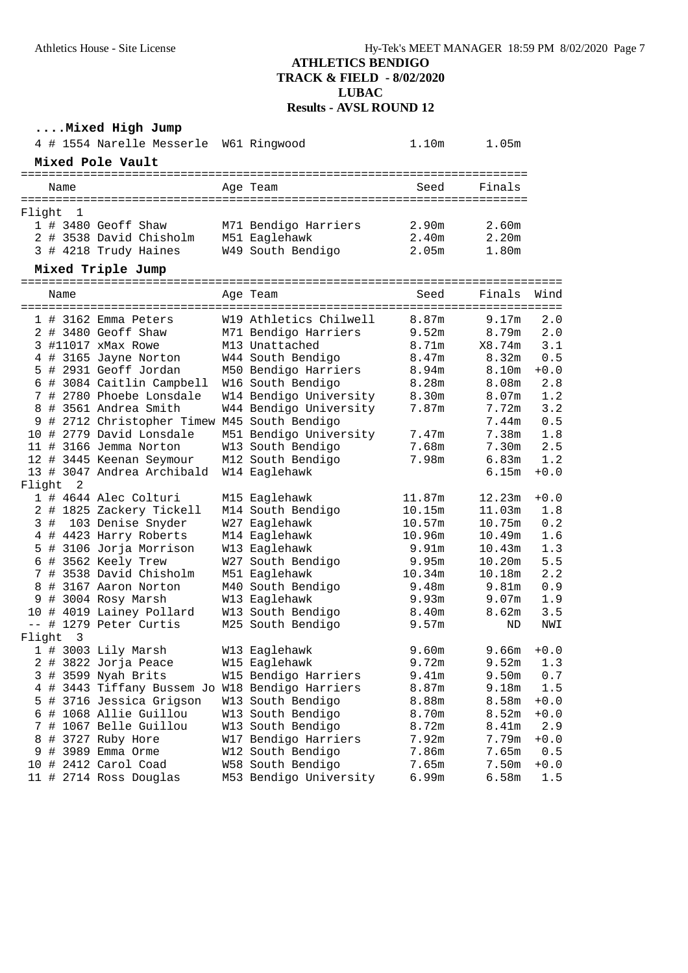# **....Mixed High Jump**

|        |      |                         | 4 # 1554 Narelle Messerle W61 Ringwood        |                        | 1.10m             | 1.05m  |        |
|--------|------|-------------------------|-----------------------------------------------|------------------------|-------------------|--------|--------|
|        |      |                         | Mixed Pole Vault                              |                        |                   |        |        |
|        |      | Name                    |                                               | Age Team               | Seed              | Finals |        |
| Flight |      | $\overline{1}$          |                                               |                        |                   |        |        |
|        |      |                         | 1 # 3480 Geoff Shaw                           | M71 Bendigo Harriers   | 2.90m             | 2.60m  |        |
|        |      |                         | 2 # 3538 David Chisholm                       | M51 Eaglehawk          | 2.40m             | 2.20m  |        |
|        |      |                         | 3 # 4218 Trudy Haines                         | W49 South Bendigo      | 2.05 <sub>m</sub> | 1.80m  |        |
|        |      |                         | Mixed Triple Jump                             |                        |                   |        |        |
|        |      | Name                    |                                               | Age Team               | Seed              | Finals | Wind   |
|        |      |                         | 1 # 3162 Emma Peters                          | W19 Athletics Chilwell | 8.87m             | 9.17m  | 2.0    |
|        |      |                         | 2 # 3480 Geoff Shaw                           | M71 Bendigo Harriers   | 9.52m             | 8.79m  | 2.0    |
|        |      |                         | 3 #11017 xMax Rowe                            | M13 Unattached         | 8.71m             | X8.74m | 3.1    |
|        |      |                         | 4 # 3165 Jayne Norton                         | W44 South Bendigo      | 8.47m             | 8.32m  | 0.5    |
|        |      |                         | 5 # 2931 Geoff Jordan                         | M50 Bendigo Harriers   | 8.94m             | 8.10m  | $+0.0$ |
|        |      |                         | 6 # 3084 Caitlin Campbell                     | W16 South Bendigo      | 8.28m             | 8.08m  | $2.8$  |
|        |      |                         | 7 # 2780 Phoebe Lonsdale                      | W14 Bendigo University | 8.30m             | 8.07m  | 1.2    |
|        |      |                         | 8 # 3561 Andrea Smith                         | W44 Bendigo University | 7.87m             | 7.72m  | 3.2    |
|        |      |                         | 9 # 2712 Christopher Timew M45 South Bendigo  |                        |                   | 7.44m  | 0.5    |
|        |      |                         | 10 # 2779 David Lonsdale                      | M51 Bendigo University | 7.47m             | 7.38m  | 1.8    |
|        |      |                         | 11 # 3166 Jemma Norton                        | W13 South Bendigo      | 7.68m             | 7.30m  | 2.5    |
|        |      |                         | 12 # 3445 Keenan Seymour                      | M12 South Bendigo      | 7.98m             | 6.83m  | 1.2    |
|        |      |                         | 13 # 3047 Andrea Archibald                    | W14 Eaglehawk          |                   | 6.15m  | $+0.0$ |
| Flight |      | 2                       |                                               |                        |                   |        |        |
|        |      |                         | 1 # 4644 Alec Colturi                         | M15 Eaglehawk          | 11.87m            | 12.23m | $+0.0$ |
|        |      |                         | 2 # 1825 Zackery Tickell                      | M14 South Bendigo      | 10.15m            | 11.03m | 1.8    |
|        |      |                         | 3 # 103 Denise Snyder                         | W27 Eaglehawk          | 10.57m            | 10.75m | 0.2    |
|        |      |                         | 4 # 4423 Harry Roberts                        | M14 Eaglehawk          | 10.96m            | 10.49m | 1.6    |
|        |      |                         | 5 # 3106 Jorja Morrison                       | W13 Eaglehawk          | 9.91 <sub>m</sub> | 10.43m | 1.3    |
|        |      |                         | 6 # 3562 Keely Trew                           | W27 South Bendigo      | 9.95m             | 10.20m | 5.5    |
|        |      |                         | 7 # 3538 David Chisholm                       | M51 Eaglehawk          | 10.34m            | 10.18m | 2.2    |
|        |      |                         | 8 # 3167 Aaron Norton                         | M40 South Bendigo      | 9.48m             | 9.81m  | 0.9    |
|        |      |                         | 9 # 3004 Rosy Marsh                           | W13 Eaglehawk          | 9.93m             | 9.07m  | 1.9    |
|        |      |                         | 10 # 4019 Lainey Pollard                      | W13 South Bendigo      | 8.40m             | 8.62m  | 3.5    |
|        |      |                         | -- # 1279 Peter Curtis                        | M25 South Bendigo      | 9.57m             | ND     | NWI    |
| Flight |      | $\overline{\mathbf{3}}$ |                                               |                        |                   |        |        |
|        |      |                         | 1 # 3003 Lily Marsh                           | W13 Eaglehawk          | 9.60m             | 9.66m  | $+0.0$ |
|        |      |                         | 2 # 3822 Jorja Peace                          | W15 Eaglehawk          | 9.72m             | 9.52m  | 1.3    |
| 3      | #    |                         | 3599 Nyah Brits                               | W15 Bendigo Harriers   | 9.41m             | 9.50m  | $0.7$  |
| 4      |      |                         | # 3443 Tiffany Bussem Jo W18 Bendigo Harriers |                        | 8.87m             | 9.18m  | 1.5    |
| 5      | #    |                         | 3716 Jessica Grigson                          | W13 South Bendigo      | 8.88m             | 8.58m  | $+0.0$ |
| 6      | #    |                         | 1068 Allie Guillou                            | W13 South Bendigo      | 8.70m             | 8.52m  | $+0.0$ |
| 7      | #    |                         | 1067 Belle Guillou                            | W13 South Bendigo      | 8.72m             | 8.41m  | 2.9    |
| 8      | $\#$ |                         | 3727 Ruby Hore                                | W17 Bendigo Harriers   | 7.92m             | 7.79m  | $+0.0$ |
| 9      | $#$  |                         | 3989 Emma Orme                                | W12 South Bendigo      | 7.86m             | 7.65m  | 0.5    |
| 10     | - #  |                         | 2412 Carol Coad                               | W58 South Bendigo      | 7.65m             | 7.50m  | $+0.0$ |
|        |      |                         | 11 # 2714 Ross Douglas                        | M53 Bendigo University | 6.99m             | 6.58m  | 1.5    |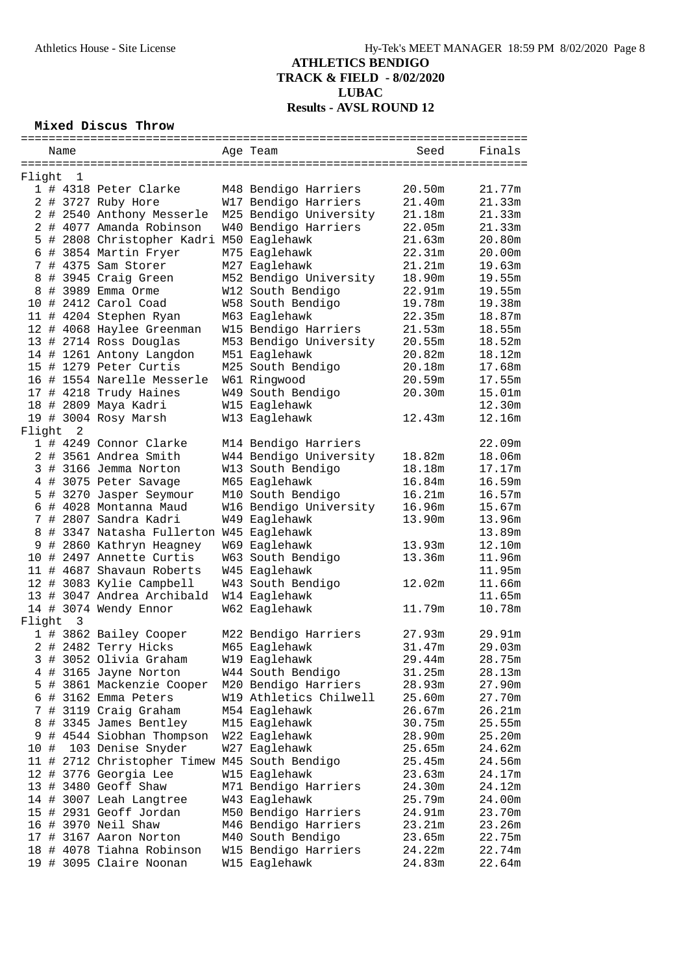# **Mixed Discus Throw**

|          | Name |                                               | Age Team               | Seed   | Finals |
|----------|------|-----------------------------------------------|------------------------|--------|--------|
|          |      |                                               |                        |        |        |
| Flight   | 1    |                                               |                        |        |        |
|          |      | 1 # 4318 Peter Clarke                         | M48 Bendigo Harriers   | 20.50m | 21.77m |
|          |      | 2 # 3727 Ruby Hore                            | W17 Bendigo Harriers   | 21.40m | 21.33m |
|          |      | 2 # 2540 Anthony Messerle                     | M25 Bendigo University | 21.18m | 21.33m |
|          |      | 2 # 4077 Amanda Robinson                      | W40 Bendigo Harriers   | 22.05m | 21.33m |
|          |      | 5 # 2808 Christopher Kadri M50 Eaglehawk      |                        | 21.63m | 20.80m |
|          |      | 6 # 3854 Martin Fryer                         | M75 Eaglehawk          | 22.31m | 20.00m |
|          |      | 7 # 4375 Sam Storer                           |                        | 21.21m | 19.63m |
|          |      |                                               | M27 Eaglehawk          |        |        |
|          |      | 8 # 3945 Craig Green                          | M52 Bendigo University | 18.90m | 19.55m |
|          |      | 8 # 3989 Emma Orme                            | W12 South Bendigo      | 22.91m | 19.55m |
|          |      | 10 # 2412 Carol Coad                          | W58 South Bendigo      | 19.78m | 19.38m |
|          |      | 11 # 4204 Stephen Ryan                        | M63 Eaglehawk          | 22.35m | 18.87m |
|          |      | 12 # 4068 Haylee Greenman                     | W15 Bendigo Harriers   | 21.53m | 18.55m |
|          |      | 13 # 2714 Ross Douglas                        | M53 Bendigo University | 20.55m | 18.52m |
|          |      | 14 # 1261 Antony Langdon                      | M51 Eaglehawk          | 20.82m | 18.12m |
|          |      | 15 # 1279 Peter Curtis                        | M25 South Bendigo      | 20.18m | 17.68m |
|          |      | 16 # 1554 Narelle Messerle                    | W61 Ringwood           | 20.59m | 17.55m |
|          |      | 17 # 4218 Trudy Haines                        | W49 South Bendigo      | 20.30m | 15.01m |
|          |      | 18 # 2809 Maya Kadri                          | W15 Eaglehawk          |        | 12.30m |
|          |      | 19 # 3004 Rosy Marsh                          | W13 Eaglehawk          | 12.43m | 12.16m |
| Flight 2 |      |                                               |                        |        |        |
|          |      | 1 # 4249 Connor Clarke                        | M14 Bendigo Harriers   |        | 22.09m |
|          |      | 2 # 3561 Andrea Smith                         | W44 Bendigo University | 18.82m | 18.06m |
|          |      |                                               |                        |        |        |
|          |      | 3 # 3166 Jemma Norton                         | W13 South Bendigo      | 18.18m | 17.17m |
|          |      | 4 # 3075 Peter Savage                         | M65 Eaglehawk          | 16.84m | 16.59m |
|          |      | 5 # 3270 Jasper Seymour                       | M10 South Bendigo      | 16.21m | 16.57m |
|          |      | 6 # 4028 Montanna Maud                        | W16 Bendigo University | 16.96m | 15.67m |
|          |      | 7 # 2807 Sandra Kadri                         | W49 Eaglehawk          | 13.90m | 13.96m |
|          |      | 8 # 3347 Natasha Fullerton W45 Eaglehawk      |                        |        | 13.89m |
|          |      | 9 # 2860 Kathryn Heagney                      | W69 Eaglehawk          | 13.93m | 12.10m |
|          |      | 10 # 2497 Annette Curtis                      | W63 South Bendigo      | 13.36m | 11.96m |
|          |      | 11 # 4687 Shavaun Roberts                     | W45 Eaglehawk          |        | 11.95m |
|          |      | 12 # 3083 Kylie Campbell                      | W43 South Bendigo      | 12.02m | 11.66m |
|          |      | 13 # 3047 Andrea Archibald                    | W14 Eaglehawk          |        | 11.65m |
|          |      | 14 # 3074 Wendy Ennor                         | W62 Eaglehawk          | 11.79m | 10.78m |
| Flight   | 3    |                                               |                        |        |        |
|          |      | 1 # 3862 Bailey Cooper                        | M22 Bendigo Harriers   | 27.93m | 29.91m |
|          |      | 2 # 2482 Terry Hicks                          | M65 Eaglehawk          | 31.47m | 29.03m |
|          |      | 3 # 3052 Olivia Graham                        |                        |        | 28.75m |
|          |      |                                               | W19 Eaglehawk          | 29.44m |        |
|          |      | 4 # 3165 Jayne Norton                         | W44 South Bendigo      | 31.25m | 28.13m |
| 5.       |      | # 3861 Mackenzie Cooper                       | M20 Bendigo Harriers   | 28.93m | 27.90m |
| 6        |      | # 3162 Emma Peters                            | W19 Athletics Chilwell | 25.60m | 27.70m |
|          |      | # 3119 Craig Graham                           | M54 Eaglehawk          | 26.67m | 26.21m |
| 8        |      | # 3345 James Bentley                          | M15 Eaglehawk          | 30.75m | 25.55m |
| 9        |      | # 4544 Siobhan Thompson                       | W22 Eaglehawk          | 28.90m | 25.20m |
| 10 #     |      | 103 Denise Snyder                             | W27 Eaglehawk          | 25.65m | 24.62m |
|          |      | 11 # 2712 Christopher Timew M45 South Bendigo |                        | 25.45m | 24.56m |
|          |      | 12 # 3776 Georgia Lee                         | W15 Eaglehawk          | 23.63m | 24.17m |
|          |      | 13 # 3480 Geoff Shaw                          | M71 Bendigo Harriers   | 24.30m | 24.12m |
|          |      | 14 # 3007 Leah Langtree                       | W43 Eaglehawk          | 25.79m | 24.00m |
|          |      | 15 # 2931 Geoff Jordan                        | M50 Bendigo Harriers   | 24.91m | 23.70m |
|          |      | 16 # 3970 Neil Shaw                           | M46 Bendigo Harriers   | 23.21m | 23.26m |
|          |      | 17 # 3167 Aaron Norton                        | M40 South Bendigo      | 23.65m | 22.75m |
|          |      | 18 # 4078 Tiahna Robinson                     | W15 Bendigo Harriers   | 24.22m | 22.74m |
|          |      | 19 # 3095 Claire Noonan                       | W15 Eaglehawk          | 24.83m | 22.64m |
|          |      |                                               |                        |        |        |